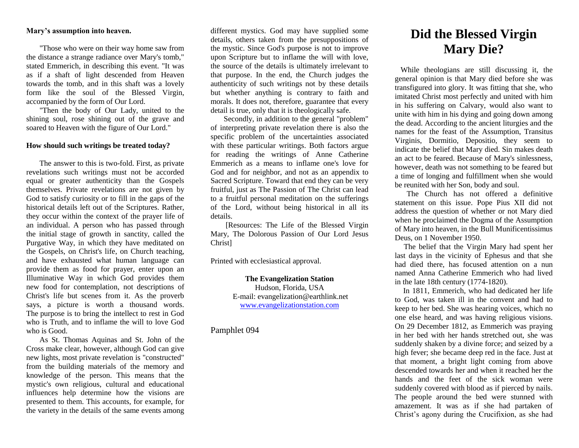## **Mary's assumption into heaven.**

"Those who were on their way home saw from the distance a strange radiance over Mary's tomb," stated Emmerich, in describing this event. "It was as if a shaft of light descended from Heaven towards the tomb, and in this shaft was a lovely form like the soul of the Blessed Virgin, accompanied by the form of Our Lord.

"Then the body of Our Lady, united to the shining soul, rose shining out of the grave and soared to Heaven with the figure of Our Lord."

#### **How should such writings be treated today?**

The answer to this is two-fold. First, as private revelations such writings must not be accorded equal or greater authenticity than the Gospels themselves. Private revelations are not given by God to satisfy curiosity or to fill in the gaps of the historical details left out of the Scriptures. Rather, they occur within the context of the prayer life of an individual. A person who has passed through the initial stage of growth in sanctity, called the Purgative Way, in which they have meditated on the Gospels, on Christ's life, on Church teaching, and have exhausted what human language can provide them as food for prayer, enter upon an Illuminative Way in which God provides them new food for contemplation, not descriptions of Christ's life but scenes from it. As the proverb says, a picture is worth a thousand words. The purpose is to bring the intellect to rest in God who is Truth, and to inflame the will to love God who is Good.

As St. Thomas Aquinas and St. John of the Cross make clear, however, although God can give new lights, most private revelation is "constructed" from the building materials of the memory and knowledge of the person. This means that the mystic's own religious, cultural and educational influences help determine how the visions are presented to them. This accounts, for example, for the variety in the details of the same events among

different mystics. God may have supplied some details, others taken from the presuppositions of the mystic. Since God's purpose is not to improve upon Scripture but to inflame the will with love, the source of the details is ultimately irrelevant to that purpose. In the end, the Church judges the authenticity of such writings not by these details but whether anything is contrary to faith and morals. It does not, therefore, guarantee that every detail is true, only that it is theologically safe.

Secondly, in addition to the general "problem" of interpreting private revelation there is also the specific problem of the uncertainties associated with these particular writings. Both factors argue for reading the writings of Anne Catherine Emmerich as a means to inflame one's love for God and for neighbor, and not as an appendix to Sacred Scripture. Toward that end they can be very fruitful, just as The Passion of The Christ can lead to a fruitful personal meditation on the sufferings of the Lord, without being historical in all its details.

[Resources: The Life of the Blessed Virgin Mary, The Dolorous Passion of Our Lord Jesus Christ]

Printed with ecclesiastical approval.

**The Evangelization Station** Hudson, Florida, USA E-mail: evangelization@earthlink.net [www.evangelizationstation.com](http://www.pjpiisoe.org/)

## Pamphlet 094

# **Did the Blessed Virgin Mary Die?**

While theologians are still discussing it, the general opinion is that Mary died before she was transfigured into glory. It was fitting that she, who imitated Christ most perfectly and united with him in his suffering on Calvary, would also want to unite with him in his dying and going down among the dead. According to the ancient liturgies and the names for the feast of the Assumption, Transitus Virginis, Dormitio, Depositio, they seem to indicate the belief that Mary died. Sin makes death an act to be feared. Because of Mary's sinlessness, however, death was not something to be feared but a time of longing and fulfillment when she would be reunited with her Son, body and soul.

 The Church has not offered a definitive statement on this issue. Pope Pius XII did not address the question of whether or not Mary died when he proclaimed the Dogma of the Assumption of Mary into heaven, in the Bull Munificentissimus Deus, on 1 November 1950.

 The belief that the Virgin Mary had spent her last days in the vicinity of Ephesus and that she had died there, has focused attention on a nun named Anna Catherine Emmerich who had lived in the late 18th century (1774-1820).

 In 1811, Emmerich, who had dedicated her life to God, was taken ill in the convent and had to keep to her bed. She was hearing voices, which no one else heard, and was having religious visions. On 29 December 1812, as Emmerich was praying in her bed with her hands stretched out, she was suddenly shaken by a divine force; and seized by a high fever; she became deep red in the face. Just at that moment, a bright light coming from above descended towards her and when it reached her the hands and the feet of the sick woman were suddenly covered with blood as if pierced by nails. The people around the bed were stunned with amazement. It was as if she had partaken of Christ's agony during the Crucifixion, as she had